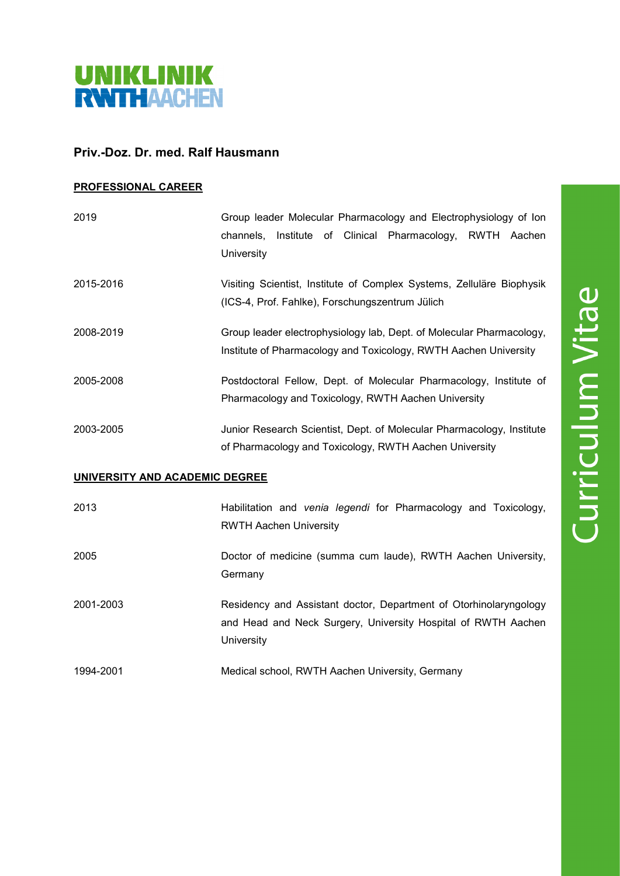

## **Priv.-Doz. Dr. med. Ralf Hausmann**

## **PROFESSIONAL CAREER**

| 2019                           | Group leader Molecular Pharmacology and Electrophysiology of Ion<br>channels, Institute of Clinical Pharmacology, RWTH Aachen<br>University |
|--------------------------------|---------------------------------------------------------------------------------------------------------------------------------------------|
| 2015-2016                      | Visiting Scientist, Institute of Complex Systems, Zelluläre Biophysik<br>(ICS-4, Prof. Fahlke), Forschungszentrum Jülich                    |
| 2008-2019                      | Group leader electrophysiology lab, Dept. of Molecular Pharmacology,<br>Institute of Pharmacology and Toxicology, RWTH Aachen University    |
| 2005-2008                      | Postdoctoral Fellow, Dept. of Molecular Pharmacology, Institute of<br>Pharmacology and Toxicology, RWTH Aachen University                   |
| 2003-2005                      | Junior Research Scientist, Dept. of Molecular Pharmacology, Institute<br>of Pharmacology and Toxicology, RWTH Aachen University             |
| UNIVERSITY AND ACADEMIC DEGREE |                                                                                                                                             |

| Habilitation and venia legendi for Pharmacology and Toxicology,   |
|-------------------------------------------------------------------|
| <b>RWTH Aachen University</b>                                     |
| Doctor of medicine (summa cum laude), RWTH Aachen University,     |
| Germany                                                           |
| Residency and Assistant doctor, Department of Otorhinolaryngology |
| and Head and Neck Surgery, University Hospital of RWTH Aachen     |
| University                                                        |
|                                                                   |

1994-2001 Medical school, RWTH Aachen University, Germany